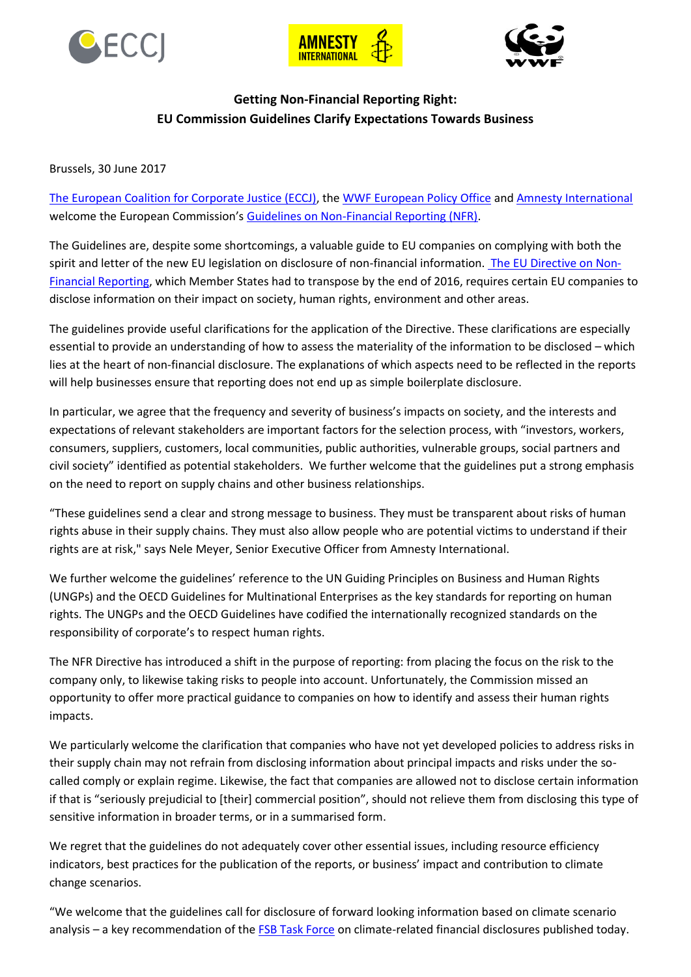





## **Getting Non-Financial Reporting Right: EU Commission Guidelines Clarify Expectations Towards Business**

Brussels, 30 June 2017

[The European Coalition for Corporate Justice \(ECCJ\),](http://www.corporatejustice.org/) the [WWF European Policy Office](http://www.wwf.eu/) and [Amnesty International](http://www.amnesty.eu/) welcome the European Commission's [Guidelines on Non-Financial Reporting \(NFR\).](https://ec.europa.eu/info/sites/info/files/170627-communication-non-financial-reporting-guidelines_en.pdf)

The Guidelines are, despite some shortcomings, a valuable guide to EU companies on complying with both the spirit and letter of the new EU legislation on disclosure of non-financial information. [The EU Directive on Non-](https://ec.europa.eu/info/business-economy-euro/company-reporting-and-auditing/company-reporting/non-financial-reporting_en)[Financial Reporting,](https://ec.europa.eu/info/business-economy-euro/company-reporting-and-auditing/company-reporting/non-financial-reporting_en) which Member States had to transpose by the end of 2016, requires certain EU companies to disclose information on their impact on society, human rights, environment and other areas.

The guidelines provide useful clarifications for the application of the Directive. These clarifications are especially essential to provide an understanding of how to assess the materiality of the information to be disclosed – which lies at the heart of non-financial disclosure. The explanations of which aspects need to be reflected in the reports will help businesses ensure that reporting does not end up as simple boilerplate disclosure.

In particular, we agree that the frequency and severity of business's impacts on society, and the interests and expectations of relevant stakeholders are important factors for the selection process, with "investors, workers, consumers, suppliers, customers, local communities, public authorities, vulnerable groups, social partners and civil society" identified as potential stakeholders. We further welcome that the guidelines put a strong emphasis on the need to report on supply chains and other business relationships.

"These guidelines send a clear and strong message to business. They must be transparent about risks of human rights abuse in their supply chains. They must also allow people who are potential victims to understand if their rights are at risk," says Nele Meyer, Senior Executive Officer from Amnesty International.

We further welcome the guidelines' reference to the UN Guiding Principles on Business and Human Rights (UNGPs) and the OECD Guidelines for Multinational Enterprises as the key standards for reporting on human rights. The UNGPs and the OECD Guidelines have codified the internationally recognized standards on the responsibility of corporate's to respect human rights.

The NFR Directive has introduced a shift in the purpose of reporting: from placing the focus on the risk to the company only, to likewise taking risks to people into account. Unfortunately, the Commission missed an opportunity to offer more practical guidance to companies on how to identify and assess their human rights impacts.

We particularly welcome the clarification that companies who have not yet developed policies to address risks in their supply chain may not refrain from disclosing information about principal impacts and risks under the socalled comply or explain regime. Likewise, the fact that companies are allowed not to disclose certain information if that is "seriously prejudicial to [their] commercial position", should not relieve them from disclosing this type of sensitive information in broader terms, or in a summarised form.

We regret that the guidelines do not adequately cover other essential issues, including resource efficiency indicators, best practices for the publication of the reports, or business' impact and contribution to climate change scenarios.

"We welcome that the guidelines call for disclosure of forward looking information based on climate scenario analysis – a key recommendation of th[e FSB Task Force](https://www.fsb-tcfd.org/) on climate-related financial disclosures published today.